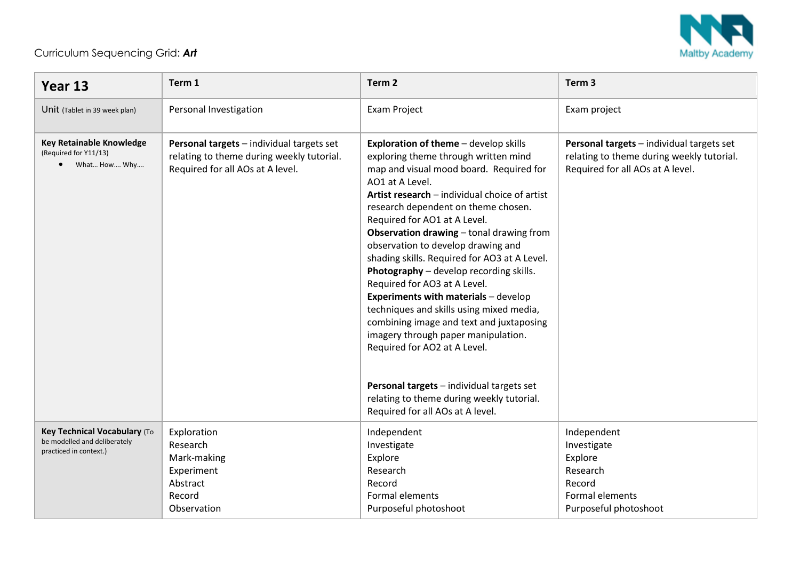

## Curriculum Sequencing Grid: *Art*

| Year 13                                                                                | Term 1                                                                                                                     | Term <sub>2</sub>                                                                                                                                                                                                                                                                                                                                                                                                                                                                                                                                                                                                                                                                                                                                                                                                            | Term <sub>3</sub>                                                                                                          |
|----------------------------------------------------------------------------------------|----------------------------------------------------------------------------------------------------------------------------|------------------------------------------------------------------------------------------------------------------------------------------------------------------------------------------------------------------------------------------------------------------------------------------------------------------------------------------------------------------------------------------------------------------------------------------------------------------------------------------------------------------------------------------------------------------------------------------------------------------------------------------------------------------------------------------------------------------------------------------------------------------------------------------------------------------------------|----------------------------------------------------------------------------------------------------------------------------|
| Unit (Tablet in 39 week plan)                                                          | Personal Investigation                                                                                                     | <b>Exam Project</b>                                                                                                                                                                                                                                                                                                                                                                                                                                                                                                                                                                                                                                                                                                                                                                                                          | Exam project                                                                                                               |
| <b>Key Retainable Knowledge</b><br>(Required for Y11/13)<br>• What How Why             | Personal targets - individual targets set<br>relating to theme during weekly tutorial.<br>Required for all AOs at A level. | Exploration of theme - develop skills<br>exploring theme through written mind<br>map and visual mood board. Required for<br>AO1 at A Level.<br>Artist research - individual choice of artist<br>research dependent on theme chosen.<br>Required for AO1 at A Level.<br>Observation drawing - tonal drawing from<br>observation to develop drawing and<br>shading skills. Required for AO3 at A Level.<br>Photography - develop recording skills.<br>Required for AO3 at A Level.<br><b>Experiments with materials - develop</b><br>techniques and skills using mixed media,<br>combining image and text and juxtaposing<br>imagery through paper manipulation.<br>Required for AO2 at A Level.<br>Personal targets - individual targets set<br>relating to theme during weekly tutorial.<br>Required for all AOs at A level. | Personal targets - individual targets set<br>relating to theme during weekly tutorial.<br>Required for all AOs at A level. |
| Key Technical Vocabulary (To<br>be modelled and deliberately<br>practiced in context.) | Exploration<br>Research<br>Mark-making<br>Experiment<br>Abstract<br>Record<br>Observation                                  | Independent<br>Investigate<br>Explore<br>Research<br>Record<br>Formal elements<br>Purposeful photoshoot                                                                                                                                                                                                                                                                                                                                                                                                                                                                                                                                                                                                                                                                                                                      | Independent<br>Investigate<br>Explore<br>Research<br>Record<br>Formal elements<br>Purposeful photoshoot                    |